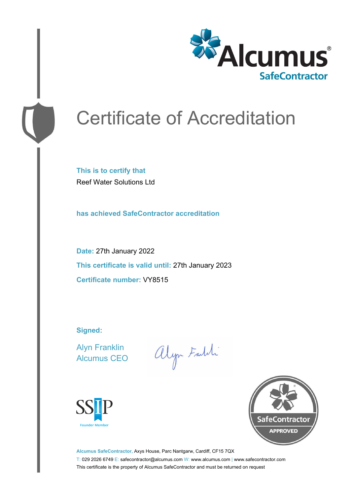

# Certificate of Accreditation

**This is to certify that** Reef Water Solutions Ltd

**has achieved SafeContractor accreditation**

**Date:** 27th January 2022 **This certificate is valid until:** 27th January 2023 **Certificate number:** VY8515

**Signed:**

Alyn Franklin Alcumus CEO

alyn Faith





**Alcumus SafeContractor,** Axys House, Parc Nantgarw, Cardiff, CF15 7QX T: 029 2026 6749 E: safecontractor@alcumus.com W: www.alcumus.com | www.safecontractor.com This certificate is the property of Alcumus SafeContractor and must be returned on request